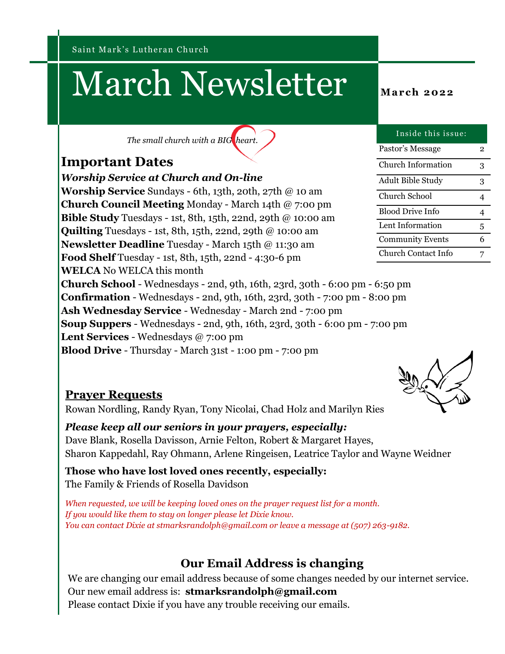Saint Mark's Lutheran Church

# March Newsletter **March** 2022

*The small church with a BIG heart.*

### **Important Dates**

*Worship Service at Church and On-line*

**Worship Service** Sundays - 6th, 13th, 20th, 27th @ 10 am **Church Council Meeting** Monday - March 14th @ 7:00 pm **Bible Study** Tuesdays - 1st, 8th, 15th, 22nd, 29th @ 10:00 am **Quilting** Tuesdays - 1st, 8th, 15th, 22nd, 29th @ 10:00 am **Newsletter Deadline** Tuesday - March 15th @ 11:30 am **Food Shelf** Tuesday - 1st, 8th, 15th, 22nd - 4:30-6 pm **WELCA** No WELCA this month

**Church School** - Wednesdays - 2nd, 9th, 16th, 23rd, 30th - 6:00 pm - 6:50 pm **Confirmation** - Wednesdays - 2nd, 9th, 16th, 23rd, 30th - 7:00 pm - 8:00 pm **Ash Wednesday Service** - Wednesday - March 2nd - 7:00 pm **Soup Suppers** - Wednesdays - 2nd, 9th, 16th, 23rd, 30th - 6:00 pm - 7:00 pm **Lent Services** - Wednesdays @ 7:00 pm

**Blood Drive** - Thursday - March 31st - 1:00 pm - 7:00 pm

#### Pastor's Message 2 Church Information 3 Adult Bible Study 3 Church School 4 Blood Drive Info 4 Lent Information 5 Community Events 6 Church Contact Info 7

Inside this issue:



#### **Prayer Requests**

Rowan Nordling, Randy Ryan, Tony Nicolai, Chad Holz and Marilyn Ries

*Please keep all our seniors in your prayers, especially:*  Dave Blank, Rosella Davisson, Arnie Felton, Robert & Margaret Hayes, Sharon Kappedahl, Ray Ohmann, Arlene Ringeisen, Leatrice Taylor and Wayne Weidner

**Those who have lost loved ones recently, especially:** The Family & Friends of Rosella Davidson

*When requested, we will be keeping loved ones on the prayer request list for a month. If you would like them to stay on longer please let Dixie know. You can contact Dixie at stmarksrandolph@gmail.com or leave a message at (507) 263-9182.*

### **Our Email Address is changing**

We are changing our email address because of some changes needed by our internet service. Our new email address is: **stmarksrandolph@gmail.com** Please contact Dixie if you have any trouble receiving our emails.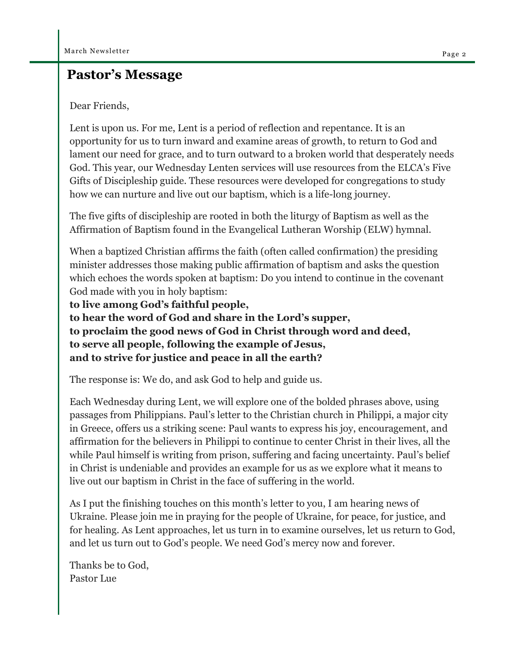#### **Pastor's Message**

#### Dear Friends,

Lent is upon us. For me, Lent is a period of reflection and repentance. It is an opportunity for us to turn inward and examine areas of growth, to return to God and lament our need for grace, and to turn outward to a broken world that desperately needs God. This year, our Wednesday Lenten services will use resources from the ELCA's Five Gifts of Discipleship guide. These resources were developed for congregations to study how we can nurture and live out our baptism, which is a life-long journey.

The five gifts of discipleship are rooted in both the liturgy of Baptism as well as the Affirmation of Baptism found in the Evangelical Lutheran Worship (ELW) hymnal.

When a baptized Christian affirms the faith (often called confirmation) the presiding minister addresses those making public affirmation of baptism and asks the question which echoes the words spoken at baptism: Do you intend to continue in the covenant God made with you in holy baptism:

**to live among God's faithful people,**

**to hear the word of God and share in the Lord's supper, to proclaim the good news of God in Christ through word and deed, to serve all people, following the example of Jesus, and to strive for justice and peace in all the earth?**

The response is: We do, and ask God to help and guide us.

Each Wednesday during Lent, we will explore one of the bolded phrases above, using passages from Philippians. Paul's letter to the Christian church in Philippi, a major city in Greece, offers us a striking scene: Paul wants to express his joy, encouragement, and affirmation for the believers in Philippi to continue to center Christ in their lives, all the while Paul himself is writing from prison, suffering and facing uncertainty. Paul's belief in Christ is undeniable and provides an example for us as we explore what it means to live out our baptism in Christ in the face of suffering in the world.

As I put the finishing touches on this month's letter to you, I am hearing news of Ukraine. Please join me in praying for the people of Ukraine, for peace, for justice, and for healing. As Lent approaches, let us turn in to examine ourselves, let us return to God, and let us turn out to God's people. We need God's mercy now and forever.

Thanks be to God, Pastor Lue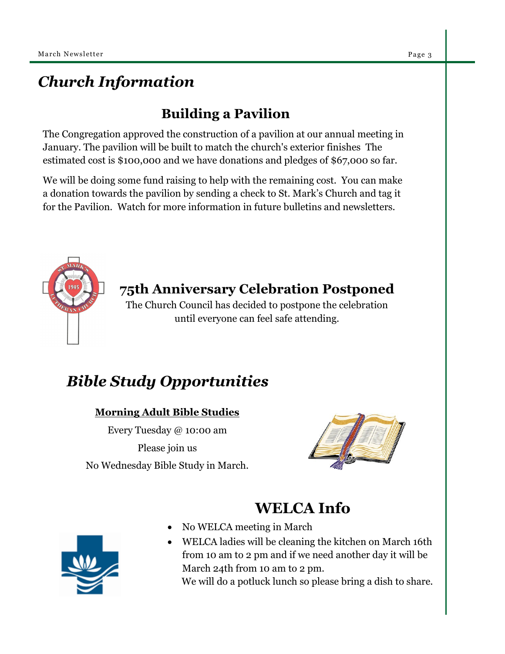# *Church Information*

# **Building a Pavilion**

The Congregation approved the construction of a pavilion at our annual meeting in January. The pavilion will be built to match the church's exterior finishes The estimated cost is \$100,000 and we have donations and pledges of \$67,000 so far.

We will be doing some fund raising to help with the remaining cost. You can make a donation towards the pavilion by sending a check to St. Mark's Church and tag it for the Pavilion. Watch for more information in future bulletins and newsletters.



## **75th Anniversary Celebration Postponed**

The Church Council has decided to postpone the celebration until everyone can feel safe attending.

# *Bible Study Opportunities*

#### **Morning Adult Bible Studies**

Every Tuesday @ 10:00 am Please join us No Wednesday Bible Study in March.



# **WELCA Info**

- No WELCA meeting in March
- WELCA ladies will be cleaning the kitchen on March 16th from 10 am to 2 pm and if we need another day it will be March 24th from 10 am to 2 pm.

We will do a potluck lunch so please bring a dish to share.

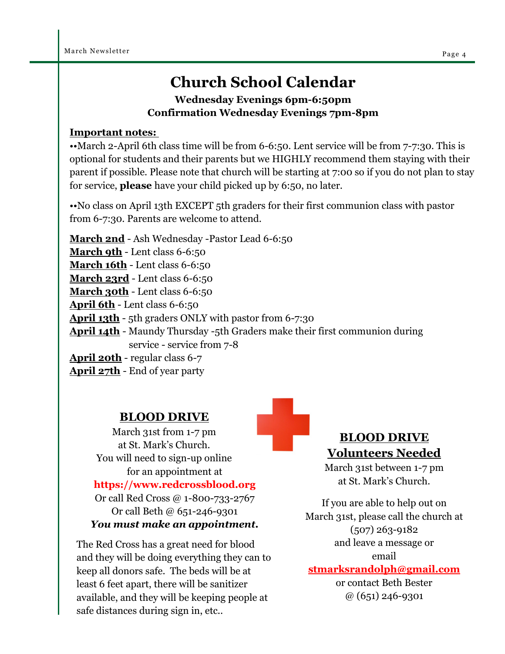# **Church School Calendar**

**Wednesday Evenings 6pm-6:50pm Confirmation Wednesday Evenings 7pm-8pm**

#### **Important notes:**

••March 2-April 6th class time will be from 6-6:50. Lent service will be from 7-7:30. This is optional for students and their parents but we HIGHLY recommend them staying with their parent if possible. Please note that church will be starting at 7:00 so if you do not plan to stay for service, **please** have your child picked up by 6:50, no later.

•• No class on April 13th EXCEPT 5th graders for their first communion class with pastor from 6-7:30. Parents are welcome to attend.

**March 2nd** - Ash Wednesday -Pastor Lead 6-6:50

**March 9th** - Lent class 6-6:50

**March 16th - Lent class 6-6:50** 

**March 23rd** - Lent class 6-6:50

**March 30th** - Lent class 6-6:50

**April 6th** - Lent class 6-6:50

**April 13th** - 5th graders ONLY with pastor from 6-7:30

**April 14th** - Maundy Thursday -5th Graders make their first communion during service - service from 7-8

**April 20th** - regular class 6-7

**April 27th** - End of year party

#### **BLOOD DRIVE**

March 31st from 1-7 pm at St. Mark's Church. You will need to sign-up online for an appointment at

#### **https://www.redcrossblood.org**

Or call Red Cross @ 1-800-733-2767 Or call Beth @ 651-246-9301 *You must make an appointment.* 

The Red Cross has a great need for blood and they will be doing everything they can to keep all donors safe. The beds will be at least 6 feet apart, there will be sanitizer available, and they will be keeping people at safe distances during sign in, etc..

## **BLOOD DRIVE Volunteers Needed**

March 31st between 1-7 pm at St. Mark's Church.

If you are able to help out on March 31st, please call the church at (507) 263-9182 and leave a message or email

#### **stmarksrandolph@gmail.com**

or contact Beth Bester @ (651) 246-9301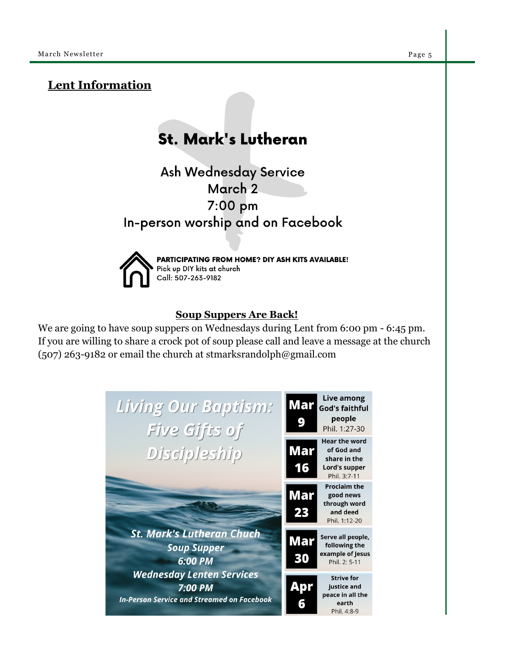#### **Lent Information**

# **St. Mark's Lutheran**

**Ash Wednesday Service** March 2 7:00 pm In-person worship and on Facebook



PARTICIPATING FROM HOME? DIY ASH KITS AVAILABLE! Pick up DIY kits at church Call: 507-263-9182

#### **Soup Suppers Are Back!**

We are going to have soup suppers on Wednesdays during Lent from 6:00 pm - 6:45 pm. If you are willing to share a crock pot of soup please call and leave a message at the church (507) 263-9182 or email the church at stmarksrandolph@gmail.com

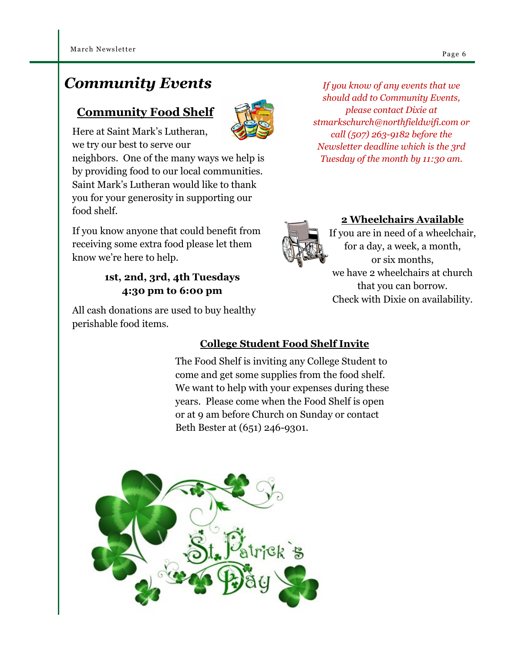# *Community Events*

## **Community Food Shelf**



Here at Saint Mark's Lutheran, we try our best to serve our

neighbors. One of the many ways we help is by providing food to our local communities. Saint Mark's Lutheran would like to thank you for your generosity in supporting our food shelf.

If you know anyone that could benefit from receiving some extra food please let them know we're here to help.

#### **1st, 2nd, 3rd, 4th Tuesdays 4:30 pm to 6:00 pm**

All cash donations are used to buy healthy perishable food items.

# **2 Wheelchairs Available**

If you are in need of a wheelchair, for a day, a week, a month, or six months, we have 2 wheelchairs at church that you can borrow. Check with Dixie on availability.

## **College Student Food Shelf Invite**

The Food Shelf is inviting any College Student to come and get some supplies from the food shelf. We want to help with your expenses during these years. Please come when the Food Shelf is open or at 9 am before Church on Sunday or contact Beth Bester at (651) 246-9301.



*If you know of any events that we should add to Community Events, please contact Dixie at stmarkschurch@northfieldwifi.com or call (507) 263-9182 before the Newsletter deadline which is the 3rd Tuesday of the month by 11:30 am.*